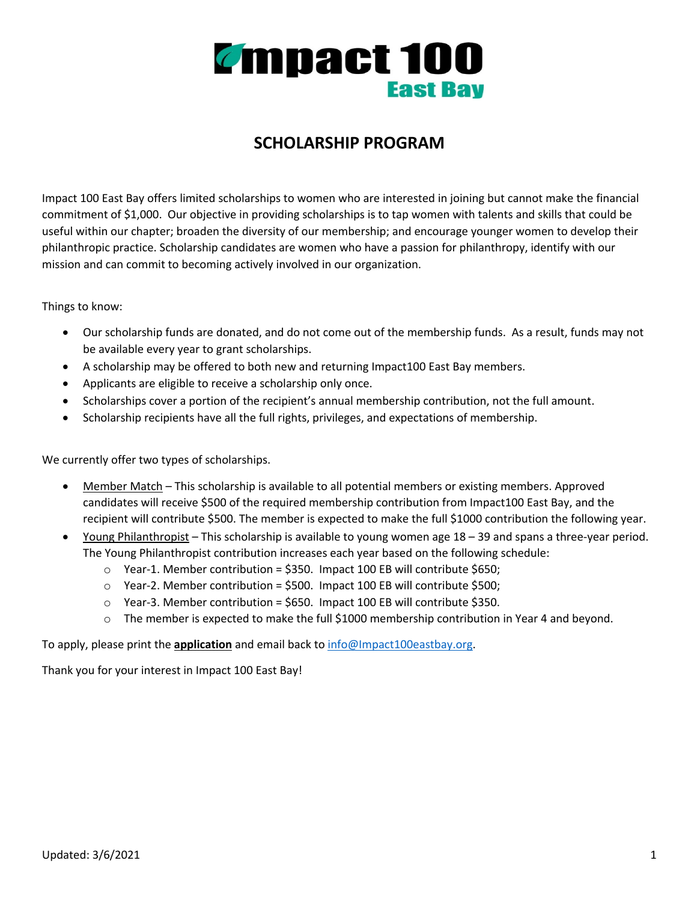

## **SCHOLARSHIP PROGRAM**

Impact 100 East Bay offers limited scholarships to women who are interested in joining but cannot make the financial commitment of \$1,000. Our objective in providing scholarships is to tap women with talents and skills that could be useful within our chapter; broaden the diversity of our membership; and encourage younger women to develop their philanthropic practice. Scholarship candidates are women who have a passion for philanthropy, identify with our mission and can commit to becoming actively involved in our organization.

Things to know:

- Our scholarship funds are donated, and do not come out of the membership funds. As a result, funds may not be available every year to grant scholarships.
- A scholarship may be offered to both new and returning Impact100 East Bay members.
- Applicants are eligible to receive a scholarship only once.
- Scholarships cover a portion of the recipient's annual membership contribution, not the full amount.
- Scholarship recipients have all the full rights, privileges, and expectations of membership.

We currently offer two types of scholarships.

- Member Match This scholarship is available to all potential members or existing members. Approved candidates will receive \$500 of the required membership contribution from Impact100 East Bay, and the recipient will contribute \$500. The member is expected to make the full \$1000 contribution the following year.
- Young Philanthropist This scholarship is available to young women age 18 39 and spans a three-year period. The Young Philanthropist contribution increases each year based on the following schedule:
	- $\circ$  Year-1. Member contribution = \$350. Impact 100 EB will contribute \$650;
	- $\circ$  Year-2. Member contribution = \$500. Impact 100 EB will contribute \$500;
	- $\circ$  Year-3. Member contribution = \$650. Impact 100 EB will contribute \$350.
	- $\circ$  The member is expected to make the full \$1000 membership contribution in Year 4 and beyond.

To apply, please print the **application** and email back to info@Impact100eastbay.org.

Thank you for your interest in Impact 100 East Bay!